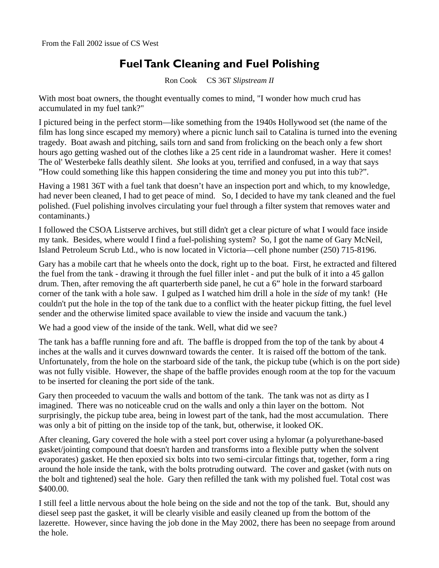## **Fuel Tank Cleaning and Fuel Polishing**

Ron Cook CS 36T *Slipstream II*

With most boat owners, the thought eventually comes to mind, "I wonder how much crud has accumulated in my fuel tank?"

I pictured being in the perfect storm—like something from the 1940s Hollywood set (the name of the film has long since escaped my memory) where a picnic lunch sail to Catalina is turned into the evening tragedy. Boat awash and pitching, sails torn and sand from frolicking on the beach only a few short hours ago getting washed out of the clothes like a 25 cent ride in a laundromat washer. Here it comes! The ol' Westerbeke falls deathly silent. *She* looks at you, terrified and confused, in a way that says "How could something like this happen considering the time and money you put into this tub?".

Having a 1981 36T with a fuel tank that doesn't have an inspection port and which, to my knowledge, had never been cleaned, I had to get peace of mind. So, I decided to have my tank cleaned and the fuel polished. (Fuel polishing involves circulating your fuel through a filter system that removes water and contaminants.)

I followed the CSOA Listserve archives, but still didn't get a clear picture of what I would face inside my tank. Besides, where would I find a fuel-polishing system? So, I got the name of Gary McNeil, Island Petroleum Scrub Ltd., who is now located in Victoria—cell phone number (250) 715-8196.

Gary has a mobile cart that he wheels onto the dock, right up to the boat. First, he extracted and filtered the fuel from the tank - drawing it through the fuel filler inlet - and put the bulk of it into a 45 gallon drum. Then, after removing the aft quarterberth side panel, he cut a 6" hole in the forward starboard corner of the tank with a hole saw. I gulped as I watched him drill a hole in the *side* of my tank! (He couldn't put the hole in the top of the tank due to a conflict with the heater pickup fitting, the fuel level sender and the otherwise limited space available to view the inside and vacuum the tank.)

We had a good view of the inside of the tank. Well, what did we see?

The tank has a baffle running fore and aft. The baffle is dropped from the top of the tank by about 4 inches at the walls and it curves downward towards the center. It is raised off the bottom of the tank. Unfortunately, from the hole on the starboard side of the tank, the pickup tube (which is on the port side) was not fully visible. However, the shape of the baffle provides enough room at the top for the vacuum to be inserted for cleaning the port side of the tank.

Gary then proceeded to vacuum the walls and bottom of the tank. The tank was not as dirty as I imagined. There was no noticeable crud on the walls and only a thin layer on the bottom. Not surprisingly, the pickup tube area, being in lowest part of the tank, had the most accumulation. There was only a bit of pitting on the inside top of the tank, but, otherwise, it looked OK.

After cleaning, Gary covered the hole with a steel port cover using a hylomar (a polyurethane-based gasket/jointing compound that doesn't harden and transforms into a flexible putty when the solvent evaporates) gasket. He then epoxied six bolts into two semi-circular fittings that, together, form a ring around the hole inside the tank, with the bolts protruding outward. The cover and gasket (with nuts on the bolt and tightened) seal the hole. Gary then refilled the tank with my polished fuel. Total cost was \$400.00.

I still feel a little nervous about the hole being on the side and not the top of the tank. But, should any diesel seep past the gasket, it will be clearly visible and easily cleaned up from the bottom of the lazerette. However, since having the job done in the May 2002, there has been no seepage from around the hole.